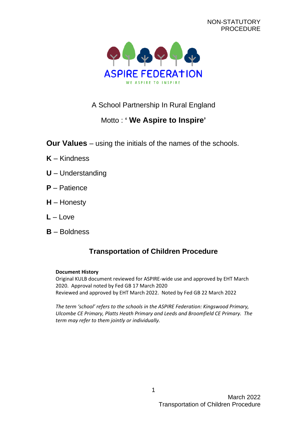NON-STATUTORY PROCEDURE



# A School Partnership In Rural England

# Motto : **' We Aspire to Inspire'**

- **Our Values** using the initials of the names of the schools.
- **K** Kindness
- **U** Understanding
- **P** Patience
- **H** Honesty
- **L** Love
- **B** Boldness

# **Transportation of Children Procedure**

### **Document History**

Original KULB document reviewed for ASPIRE-wide use and approved by EHT March 2020. Approval noted by Fed GB 17 March 2020 Reviewed and approved by EHT March 2022. Noted by Fed GB 22 March 2022

*The term 'school' refers to the schools in the ASPIRE Federation: Kingswood Primary, Ulcombe CE Primary, Platts Heath Primary and Leeds and Broomfield CE Primary. The term may refer to them jointly or individually.*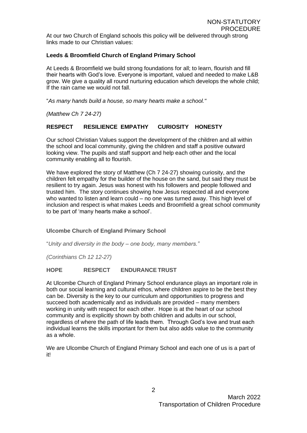At our two Church of England schools this policy will be delivered through strong links made to our Christian values:

### **Leeds & Broomfield Church of England Primary School**

At Leeds & Broomfield we build strong foundations for all; to learn, flourish and fill their hearts with God's love. Everyone is important, valued and needed to make L&B grow. We give a quality all round nurturing education which develops the whole child; If the rain came we would not fall.

"*As many hands build a house, so many hearts make a school."*

*(Matthew Ch 7 24-27)*

### **RESPECT RESILIENCE EMPATHY CURIOSITY HONESTY**

Our school Christian Values support the development of the children and all within the school and local community, giving the children and staff a positive outward looking view. The pupils and staff support and help each other and the local community enabling all to flourish.

We have explored the story of Matthew (Ch 7 24-27) showing curiosity, and the children felt empathy for the builder of the house on the sand, but said they must be resilient to try again. Jesus was honest with his followers and people followed and trusted him. The story continues showing how Jesus respected all and everyone who wanted to listen and learn could – no one was turned away. This high level of inclusion and respect is what makes Leeds and Broomfield a great school community to be part of 'many hearts make a school'.

### **Ulcombe Church of England Primary School**

"*Unity and diversity in the body – one body, many members."*

*(Corinthians Ch 12 12-27)*

### **HOPE RESPECT ENDURANCETRUST**

At Ulcombe Church of England Primary School endurance plays an important role in both our social learning and cultural ethos, where children aspire to be the best they can be. Diversity is the key to our curriculum and opportunities to progress and succeed both academically and as individuals are provided – many members working in unity with respect for each other. Hope is at the heart of our school community and is explicitly shown by both children and adults in our school, regardless of where the path of life leads them. Through God's love and trust each individual learns the skills important for them but also adds value to the community as a whole.

We are Ulcombe Church of England Primary School and each one of us is a part of it!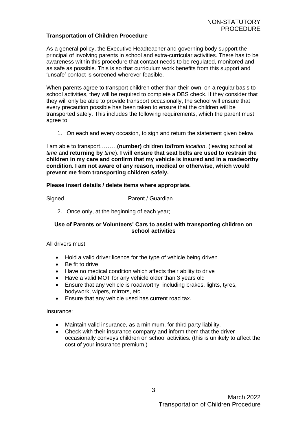### **Transportation of Children Procedure**

As a general policy, the Executive Headteacher and governing body support the principal of involving parents in school and extra-curricular activities. There has to be awareness within this procedure that contact needs to be regulated, monitored and as safe as possible. This is so that curriculum work benefits from this support and 'unsafe' contact is screened wherever feasible.

When parents agree to transport children other than their own, on a regular basis to school activities, they will be required to complete a DBS check. If they consider that they will only be able to provide transport occasionally, the school will ensure that every precaution possible has been taken to ensure that the children will be transported safely. This includes the following requirements, which the parent must agree to;

1. On each and every occasion, to sign and return the statement given below;

I am able to transport………**(number)** children **to/from** *location*, (leaving school at *time* and **returning by** *time*). **I will ensure that seat belts are used to restrain the children in my care and confirm that my vehicle is insured and in a roadworthy condition. I am not aware of any reason, medical or otherwise, which would prevent me from transporting children safely.**

#### **Please insert details / delete items where appropriate.**

Signed…………………………… Parent / Guardian

2. Once only, at the beginning of each year;

#### **Use of Parents or Volunteers' Cars to assist with transporting children on school activities**

All drivers must:

- Hold a valid driver licence for the type of vehicle being driven
- Be fit to drive
- Have no medical condition which affects their ability to drive
- Have a valid MOT for any vehicle older than 3 years old
- Ensure that any vehicle is roadworthy, including brakes, lights, tyres, bodywork, wipers, mirrors, etc.
- Ensure that any vehicle used has current road tax.

Insurance:

- Maintain valid insurance, as a minimum, for third party liability.
- Check with their insurance company and inform them that the driver occasionally conveys children on school activities. (this is unlikely to affect the cost of your insurance premium.)